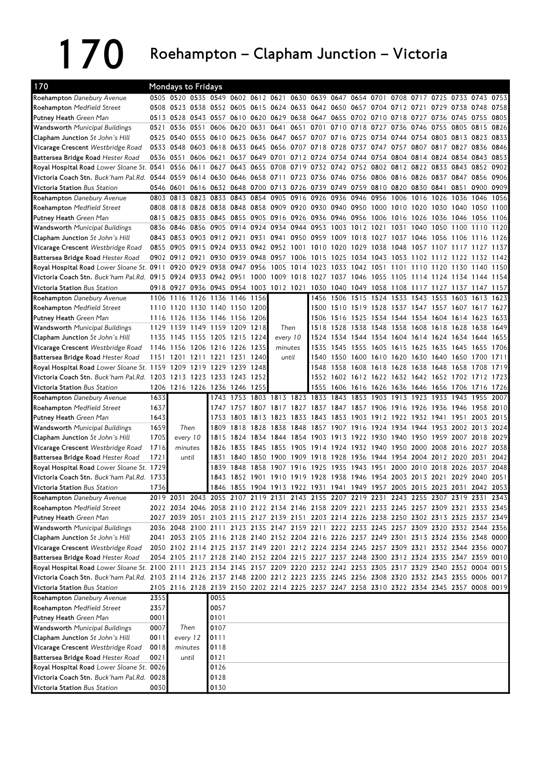## 170 Roehampton – Clapham Junction – Victoria

| 170                                                                                                                            |      | <b>Mondays to Fridays</b>                                                                 |           |                                                   |              |                |                                              |      |                          |                     |                |      |      |                                                                            |           |                     |      |              |
|--------------------------------------------------------------------------------------------------------------------------------|------|-------------------------------------------------------------------------------------------|-----------|---------------------------------------------------|--------------|----------------|----------------------------------------------|------|--------------------------|---------------------|----------------|------|------|----------------------------------------------------------------------------|-----------|---------------------|------|--------------|
| Roehampton Danebury Avenue                                                                                                     |      | 0505 0520 0535 0549 0602 0612 0621 0630 0639 0647 0654 0701 0708 0717 0725 0733 0743 0753 |           |                                                   |              |                |                                              |      |                          |                     |                |      |      |                                                                            |           |                     |      |              |
| <b>Roehampton</b> Medfield Street                                                                                              |      | 0508 0523 0538 0552 0605 0615 0624 0633 0642 0650 0657 0704 0712 0721 0729 0738 0748 0758 |           |                                                   |              |                |                                              |      |                          |                     |                |      |      |                                                                            |           |                     |      |              |
| <b>Putney Heath</b> Green Man                                                                                                  |      | 0513 0528 0543 0557 0610 0620 0629 0638 0647 0655 0702 0710                               |           |                                                   |              |                |                                              |      |                          |                     |                |      |      | 0718 0727 0736                                                             |           | 0745                | 0755 | 0805         |
| <b>Wandsworth</b> Municipal Buildings                                                                                          | 0521 | 0536 0551 0606 0620 0631 0641 0651 0701 0710 0718 0727 0736 0746 0755 0805                |           |                                                   |              |                |                                              |      |                          |                     |                |      |      |                                                                            |           |                     | 0815 | 0826         |
| <b>Clapham Junction</b> St John's Hill                                                                                         | 0525 | 0540                                                                                      |           | 0555 0610 0625                                    |              |                | 0636 0647 0657 0707 0716 0725 0734           |      |                          |                     |                |      |      | 0744 0754 0803 0813 0823                                                   |           |                     |      | 0833         |
| Vicarage Crescent Westbridge Road                                                                                              |      | 0533 0548 0603 0618 0633 0645 0656 0707 0718 0728 0737 0747 0757 0807 0817 0827 0836 0846 |           |                                                   |              |                |                                              |      |                          |                     |                |      |      |                                                                            |           |                     |      |              |
| Battersea Bridge Road Hester Road                                                                                              |      | 0536 0551                                                                                 |           | 0606 0621 0637 0649 0701 0712 0724 0734 0744 0754 |              |                |                                              |      |                          |                     |                |      |      | 0804 0814 0824 0834 0843                                                   |           |                     |      | 0853         |
| Royal Hospital Road Lower Sloane St. 0541                                                                                      |      | 0556 0611                                                                                 |           |                                                   |              |                |                                              |      |                          |                     |                |      |      | 0627 0643 0655 0708 0719 0732 0742 0752 0802 0812 0822 0833 0843 0852      |           |                     |      | 0902         |
| Victoria Coach Stn. Buck'ham Pal.Rd. 0544 0559 0614 0630 0646 0658 0711 0723 0736 0746 0756 0806 0816 0826 0837 0847 0856      |      |                                                                                           |           |                                                   |              |                |                                              |      |                          |                     |                |      |      |                                                                            |           |                     |      | 0906         |
| Victoria Station Bus Station                                                                                                   |      | 0546 0601 0616 0632 0648 0700 0713 0726 0739 0749 0759 0810 0820 0830 0841 0851           |           |                                                   |              |                |                                              |      |                          |                     |                |      |      |                                                                            |           |                     | 0900 | 0909         |
| Roehampton Danebury Avenue                                                                                                     |      | 0803 0813 0823 0833 0843 0854 0905 0916 0926 0936 0946 0956                               |           |                                                   |              |                |                                              |      |                          |                     |                |      | 1006 | 1016                                                                       | 1026      | 1036                | 1046 | 1056         |
| Roehampton Medfield Street                                                                                                     |      | 0808 0818 0828 0838 0848 0858 0909 0920 0930 0940 0950 1000 1010 1020 1030 1040 1050 1100 |           |                                                   |              |                |                                              |      |                          |                     |                |      |      |                                                                            |           |                     |      |              |
| Putney Heath Green Man                                                                                                         | 0815 | 0825 0835 0845 0855 0905 0916 0926 0936 0946 0956 1006 1016 1026 1036 1046 1056 1106      |           |                                                   |              |                |                                              |      |                          |                     |                |      |      |                                                                            |           |                     |      |              |
| <b>Wandsworth</b> Municipal Buildings                                                                                          |      | 0836 0846 0856 0905 0914 0924 0934 0944 0953                                              |           |                                                   |              |                |                                              |      |                          | 1003 1012 1021      |                |      | 1031 |                                                                            |           | 1040 1050 1100 1110 |      | 1120         |
| Clapham Junction St John's Hill                                                                                                |      | 0843 0853 0903 0912 0921                                                                  |           |                                                   |              |                | 0931 0941 0950 0959                          |      |                          | 1009 1018           |                |      |      | 1027 1037 1046 1056 1106 1116 1126                                         |           |                     |      |              |
| Vicarage Crescent Westbridge Road                                                                                              |      | 0855 0905 0915 0924 0933 0942 0952 1001 1010                                              |           |                                                   |              |                |                                              |      |                          | 1020 1029 1038      |                |      |      | 1048 1057 1107 1117 1127                                                   |           |                     |      | 1137         |
| Battersea Bridge Road Hester Road                                                                                              |      | 0902 0912 0921 0930 0939                                                                  |           |                                                   |              |                |                                              |      |                          |                     |                |      |      | 0948 0957 1006 1015 1025 1034 1043 1053 1102 1112 1122 1132 1142           |           |                     |      |              |
| Royal Hospital Road Lower Sloane St. 0911 0920 0929 0938 0947 0956 1005 1014 1023 1033 1042 1051                               |      |                                                                                           |           |                                                   |              |                |                                              |      |                          |                     |                |      |      | 1101 1110 1120 1130 1140 1150                                              |           |                     |      |              |
| Victoria Coach Stn. Buck'ham Pal.Rd. 0915 0924 0933 0942 0951 1000 1009 1018 1027 1037 1046 1055 1105 1114 1124 1134 1144 1154 |      |                                                                                           |           |                                                   |              |                |                                              |      |                          |                     |                |      |      |                                                                            |           |                     |      |              |
| Victoria Station Bus Station                                                                                                   |      | 0918 0927                                                                                 |           | 0936 0945 0954 1003 1012 1021 1030 1040 1049 1058 |              |                |                                              |      |                          |                     |                |      |      | 1108 1117 1127 1137 1147 1157                                              |           |                     |      |              |
| Roehampton Danebury Avenue                                                                                                     |      | 1106 1116 1126 1136 1146 1156                                                             |           |                                                   |              |                |                                              |      |                          |                     |                |      |      | 1456 1506 1515 1524 1533 1543 1553 1603 1613 1623                          |           |                     |      |              |
| Roehampton Medfield Street                                                                                                     |      | 1110 1120 1130 1140 1150 1200                                                             |           |                                                   |              |                |                                              |      |                          | 1500 1510 1519 1528 |                |      |      | 1537 1547 1557 1607 1617                                                   |           |                     |      | 1627         |
| Putney Heath Green Man                                                                                                         |      | 1116 1126 1136 1146 1156 1206                                                             |           |                                                   |              |                |                                              |      |                          |                     |                |      |      | 1506 1516 1525 1534 1544 1554 1604 1614 1623                               |           |                     |      | 1633         |
| <b>Wandsworth Municipal Buildings</b>                                                                                          |      | 1129 1139 1149 1159 1209 1218                                                             |           |                                                   |              |                | Then                                         |      | 1518                     |                     |                |      |      | 1528 1538 1548 1558 1608 1618 1628 1638 1649                               |           |                     |      |              |
| Clapham Junction St John's Hill                                                                                                |      | 1135 1145 1155 1205 1215 1224                                                             |           |                                                   |              |                | every 10                                     |      | 1524                     |                     |                |      |      | 1534 1544 1554 1604 1614 1624 1634 1644 1655                               |           |                     |      |              |
| Vicarage Crescent Westbridge Road                                                                                              | 1146 | 1156                                                                                      | 1206 1216 |                                                   | 1226         | 1235           | minutes                                      |      | 1535                     |                     | 1545 1555 1605 |      |      | 1615 1625 1635 1645                                                        |           |                     | 1655 | 1706         |
| Battersea Bridge Road Hester Road                                                                                              | 1151 | 1201                                                                                      |           | 1211 1221 1231                                    |              | 1240           | until                                        |      | 1540                     |                     |                |      |      | 1550 1600 1610 1620 1630 1640 1650 1700                                    |           |                     |      | 17111        |
| Royal Hospital Road Lower Sloane St. 1159 1209 1219 1229                                                                       |      |                                                                                           |           |                                                   | 1239         | 1248           |                                              |      | 1548                     |                     |                |      |      | 1558 1608 1618 1628 1638 1648 1658 1708                                    |           |                     |      | 1719         |
| Victoria Coach Stn. Buck'ham Pal.Rd. 1203 1213 1223 1233 1243 1252                                                             |      |                                                                                           |           |                                                   |              |                |                                              |      |                          |                     |                |      |      | 1552 1602 1612 1622 1632 1642 1652 1702 1712 1723                          |           |                     |      |              |
| Victoria Station Bus Station                                                                                                   |      | 1206 1216 1226 1236 1246 1255                                                             |           |                                                   |              |                |                                              |      | 1555                     |                     |                |      |      | 1606 1616 1626 1636 1646 1656 1706 1716 1726                               |           |                     |      |              |
| Roehampton Danebury Avenue                                                                                                     | 1633 |                                                                                           |           | 1743                                              |              |                | 1753 1803 1813 1823                          |      | 1833                     | 1843 1853 1903      |                |      |      | 1913 1923 1933 1943 1955 2007                                              |           |                     |      |              |
|                                                                                                                                |      |                                                                                           |           |                                                   |              |                |                                              |      |                          |                     |                |      |      |                                                                            |           |                     |      |              |
|                                                                                                                                |      |                                                                                           |           |                                                   |              |                |                                              |      |                          |                     |                |      |      |                                                                            |           |                     |      |              |
| <b>Roehampton</b> Medfield Street                                                                                              | 1637 |                                                                                           |           | 1747                                              |              |                | 1757 1807 1817 1827 1837                     |      |                          |                     |                |      |      | 1847 1857 1906 1916 1926 1936 1946 1958                                    |           |                     |      | 2010         |
| <b>Putney Heath</b> Green Man                                                                                                  | 1643 |                                                                                           |           | 1753<br>1809                                      | 1803<br>1818 |                | 1813 1823                                    | 1833 | 1843<br>1857             |                     | 1853 1903      |      |      | 1912 1922 1932 1941 1951<br>1934 1944 1953                                 |           |                     | 2003 | 2015<br>2024 |
| <b>Wandsworth</b> Municipal Buildings                                                                                          | 1659 | Then                                                                                      |           | 1815                                              |              | 1824 1834 1844 | 1828 1838                                    | 1848 |                          | 1907 1916           |                | 1924 |      |                                                                            |           | 2002 2013           |      | 2029         |
| <b>Clapham Junction</b> St John's Hill                                                                                         | 1705 | every 10                                                                                  |           |                                                   |              |                |                                              |      | 1854 1903 1913 1922 1930 |                     |                |      |      | 1940 1950 1959 2007 2018                                                   |           |                     |      |              |
| Vicarage Crescent Westbridge Road                                                                                              | 1716 | minutes                                                                                   |           | 1826<br>1831                                      | 1835         |                |                                              |      |                          |                     |                |      |      | 1845 1855 1905 1914 1924 1932 1940 1950 2000 2008 2016 2027                |           |                     |      | 2038         |
| Battersea Bridge Road Hester Road                                                                                              | 1721 | until                                                                                     |           | 1839                                              |              |                | 1840 1850 1900 1909 1918 1928 1936 1944 1954 |      |                          |                     |                |      |      |                                                                            |           | 2004 2012 2020 2031 |      | 2042         |
| Royal Hospital Road Lower Sloane St. 1729                                                                                      |      |                                                                                           |           |                                                   | 1848         | 1858 1907      |                                              | 1916 | 1925                     |                     | 1935 1943 1951 |      | 2000 |                                                                            | 2010 2018 | 2026                | 2037 | 2048         |
| Victoria Coach Stn. Buck'ham Pal.Rd. 1733                                                                                      |      |                                                                                           |           |                                                   |              |                |                                              |      |                          |                     |                |      |      | 1843 1852 1901 1910 1919 1928 1938 1946 1954 2003 2013 2021 2029 2040 2051 |           |                     |      |              |
| Victoria Station Bus Station                                                                                                   | 1736 |                                                                                           |           |                                                   |              |                |                                              |      |                          |                     |                |      |      | 1846 1855 1904 1913 1922 1931 1941 1949 1957 2005 2015 2023 2031 2042 2053 |           |                     |      |              |
| Roehampton Danebury Avenue                                                                                                     |      | 2019 2031 2043 2055 2107 2119 2131 2143 2155 2207 2219 2231 2243 2255 2307 2319 2331 2343 |           |                                                   |              |                |                                              |      |                          |                     |                |      |      |                                                                            |           |                     |      |              |
| Roehampton Medfield Street                                                                                                     |      | 2022 2034 2046 2058 2110 2122 2134 2146 2158 2209 2221 2233 2245 2257 2309 2321 2333 2345 |           |                                                   |              |                |                                              |      |                          |                     |                |      |      |                                                                            |           |                     |      |              |
| Putney Heath Green Man                                                                                                         |      | 2027 2039 2051 2103 2115 2127 2139 2151 2203 2214 2226 2238 2250 2302 2313 2325 2337 2349 |           |                                                   |              |                |                                              |      |                          |                     |                |      |      |                                                                            |           |                     |      |              |
| Wandsworth Municipal Buildings                                                                                                 |      | 2036 2048 2100 2111 2123 2135 2147 2159 2211 2222 2233 2245 2257 2309 2320 2332 2344 2356 |           |                                                   |              |                |                                              |      |                          |                     |                |      |      |                                                                            |           |                     |      |              |
| Clapham Junction St John's Hill                                                                                                |      | 2041 2053 2105 2116 2128 2140 2152 2204 2216 2226 2237 2249 2301 2313 2324 2336 2348 0000 |           |                                                   |              |                |                                              |      |                          |                     |                |      |      |                                                                            |           |                     |      |              |
| Vicarage Crescent Westbridge Road                                                                                              |      | 2050 2102 2114 2125 2137 2149 2201 2212 2224 2234 2245 2257 2309 2321 2332 2344 2356 0007 |           |                                                   |              |                |                                              |      |                          |                     |                |      |      |                                                                            |           |                     |      |              |
| Battersea Bridge Road Hester Road                                                                                              |      | 2054 2105 2117 2128 2140 2152 2204 2215 2227 2237 2248 2300 2312 2324 2335 2347 2359 0010 |           |                                                   |              |                |                                              |      |                          |                     |                |      |      |                                                                            |           |                     |      |              |
| Royal Hospital Road Lower Sloane St. 2100 2111 2123 2134 2145 2157 2209 2220 2232 2242 2253 2305 2317 2329 2340 2352 0004 0015 |      |                                                                                           |           |                                                   |              |                |                                              |      |                          |                     |                |      |      |                                                                            |           |                     |      |              |
| Victoria Coach Stn. Buck'ham Pal.Rd. 2103 2114 2126 2137 2148 2200 2212 2223 2235 2245 2256 2308 2320 2332 2343 2355 0006 0017 |      |                                                                                           |           |                                                   |              |                |                                              |      |                          |                     |                |      |      |                                                                            |           |                     |      |              |
| Victoria Station Bus Station                                                                                                   |      | 2105 2116 2128 2139 2150 2202 2214 2225 2237 2247 2258 2310 2322 2334 2345 2357 0008 0019 |           |                                                   |              |                |                                              |      |                          |                     |                |      |      |                                                                            |           |                     |      |              |
| Roehampton Danebury Avenue                                                                                                     | 2355 |                                                                                           |           | 0055                                              |              |                |                                              |      |                          |                     |                |      |      |                                                                            |           |                     |      |              |
| Roehampton Medfield Street                                                                                                     | 2357 |                                                                                           |           | 0057                                              |              |                |                                              |      |                          |                     |                |      |      |                                                                            |           |                     |      |              |
| Putney Heath Green Man                                                                                                         | 0001 |                                                                                           |           | 0101                                              |              |                |                                              |      |                          |                     |                |      |      |                                                                            |           |                     |      |              |
| Wandsworth Municipal Buildings                                                                                                 | 0007 | Then                                                                                      |           | 0107                                              |              |                |                                              |      |                          |                     |                |      |      |                                                                            |           |                     |      |              |
| Clapham Junction St John's Hill                                                                                                | 0011 | every 12                                                                                  |           | 0111                                              |              |                |                                              |      |                          |                     |                |      |      |                                                                            |           |                     |      |              |
| Vicarage Crescent Westbridge Road                                                                                              | 0018 | minutes                                                                                   |           | 0118                                              |              |                |                                              |      |                          |                     |                |      |      |                                                                            |           |                     |      |              |
| Battersea Bridge Road Hester Road                                                                                              | 0021 | until                                                                                     |           | 0121                                              |              |                |                                              |      |                          |                     |                |      |      |                                                                            |           |                     |      |              |
| Royal Hospital Road Lower Sloane St. 0026                                                                                      |      |                                                                                           |           | 0126                                              |              |                |                                              |      |                          |                     |                |      |      |                                                                            |           |                     |      |              |
| Victoria Coach Stn. Buck'ham Pal.Rd. 0028<br>Victoria Station Bus Station                                                      | 0030 |                                                                                           |           | 0128<br>0130                                      |              |                |                                              |      |                          |                     |                |      |      |                                                                            |           |                     |      |              |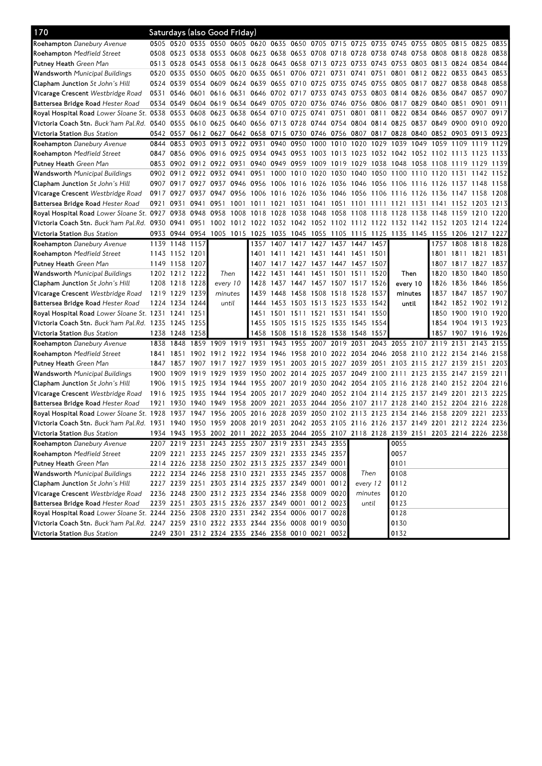| 170                                                                                                                                    |      |                | Saturdays (also Good Friday)                                     |                     |           |           |      |                |           |                          |                                                        |      |                                                                                           |      |                               |                                                         |      |       |
|----------------------------------------------------------------------------------------------------------------------------------------|------|----------------|------------------------------------------------------------------|---------------------|-----------|-----------|------|----------------|-----------|--------------------------|--------------------------------------------------------|------|-------------------------------------------------------------------------------------------|------|-------------------------------|---------------------------------------------------------|------|-------|
| <b>Roehampton</b> Danebury Avenue                                                                                                      |      |                |                                                                  |                     |           |           |      |                |           |                          |                                                        |      | 0505 0520 0535 0550 0605 0620 0635 0650 0705 0715 0725 0735 0745 0755 0805 0815 0825 0835 |      |                               |                                                         |      |       |
| <b>Roehampton</b> Medfield Street                                                                                                      |      |                |                                                                  |                     |           |           |      |                |           |                          |                                                        |      | 0508 0523 0538 0553 0608 0623 0638 0653 0708 0718 0728 0738 0748 0758 0808 0818 0828 0838 |      |                               |                                                         |      |       |
| <b>Putney Heath</b> Green Man                                                                                                          |      |                |                                                                  |                     |           |           |      |                |           |                          |                                                        |      | 0513 0528 0543 0558 0613 0628 0643 0658 0713 0723 0733 0743 0753 0803 0813 0824 0834 0844 |      |                               |                                                         |      |       |
| <b>Wandsworth</b> Municipal Buildings                                                                                                  |      |                | 0520 0535 0550 0605 0620 0635                                    |                     |           |           |      |                |           |                          | 0651 0706 0721 0731 0741                               | 0751 | 0801                                                                                      |      | 0812 0822 0833 0843 0853      |                                                         |      |       |
| <b>Clapham Junction</b> St John's Hill                                                                                                 |      |                | 0524 0539 0554 0609 0624 0639 0655 0710 0725 0735 0745 0755 0805 |                     |           |           |      |                |           |                          |                                                        |      |                                                                                           |      | 0817 0827 0838 0848 0858      |                                                         |      |       |
| <b>Vicarage Crescent</b> Westbridge Road                                                                                               |      |                |                                                                  |                     |           |           |      |                |           |                          |                                                        |      | 0531 0546 0601 0616 0631 0646 0702 0717 0733 0743 0753 0803 0814 0826 0836 0847 0857 0907 |      |                               |                                                         |      |       |
| <b>Battersea Bridge Road</b> Hester Road                                                                                               |      |                |                                                                  |                     |           |           |      |                |           |                          |                                                        |      | 0534 0549 0604 0619 0634 0649 0705 0720 0736 0746 0756 0806 0817 0829 0840 0851 0901 0911 |      |                               |                                                         |      |       |
| Royal Hospital Road Lower Sloane St. 0538 0553 0608 0623 0638 0654 0710 0725 0741 0751 0801 0811                                       |      |                |                                                                  |                     |           |           |      |                |           |                          |                                                        |      |                                                                                           |      | 0822 0834 0846 0857 0907 0917 |                                                         |      |       |
| Victoria Coach Stn. Buck'ham Pal.Rd.  0540  0555  0610  0625  0640  0656  0713  0728  0744  0754  0804  0814  0825                     |      |                |                                                                  |                     |           |           |      |                |           |                          |                                                        |      |                                                                                           |      | 0837 0849 0900 0910 0920      |                                                         |      |       |
| <b>Victoria Station</b> Bus Station                                                                                                    |      |                |                                                                  |                     |           |           |      |                |           |                          |                                                        |      | 0542 0557 0612 0627 0642 0658 0715 0730 0746 0756 0807 0817 0828 0840 0852 0903 0913 0923 |      |                               |                                                         |      |       |
| Roehampton Danebury Avenue                                                                                                             |      | 0844 0853      |                                                                  | 0903 0913 0922 0931 |           |           |      |                |           | 0940 0950 1000 1010      | 1020 1029                                              |      | 1039                                                                                      | 1049 | 1059 1109                     |                                                         | 1119 | 1129  |
| <b>Roehampton</b> Medfield Street                                                                                                      |      |                |                                                                  |                     |           |           |      |                |           |                          |                                                        |      | 0847 0856 0906 0916 0925 0934 0943 0953 1003 1013 1023 1032 1042 1052 1102 1113 1123 1133 |      |                               |                                                         |      |       |
| <b>Putney Heath</b> Green Man                                                                                                          |      |                |                                                                  |                     |           |           |      |                |           |                          |                                                        |      | 0853 0902 0912 0922 0931 0940 0949 0959 1009 1019 1029 1038 1048 1058 1108 1119 1129      |      |                               |                                                         |      | 1139  |
| <b>Wandsworth</b> Municipal Buildings                                                                                                  |      |                | 0902 0912 0922 0932 0941                                         |                     |           |           |      |                |           |                          |                                                        |      | 0951 1000 1010 1020 1030 1040 1050 1100 1110 1120 1131                                    |      |                               |                                                         | 1142 | 1152  |
| Clapham Junction St John's Hill                                                                                                        |      | 0907 0917      |                                                                  | 0927 0937 0946 0956 |           |           |      |                |           |                          |                                                        |      | 1006 1016 1026 1036 1046 1056 1106 1116 1126 1137 1148                                    |      |                               |                                                         |      | 1158  |
| <b>Vicarage Crescent</b> Westbridge Road                                                                                               |      | 0917 0927      |                                                                  | 0937 0947 0956 1006 |           |           |      |                |           |                          |                                                        |      | 1016 1026 1036 1046 1056 1106 1116 1126 1136 1147 1158 1208                               |      |                               |                                                         |      |       |
| Battersea Bridge Road Hester Road                                                                                                      |      |                | 0921 0931 0941 0951                                              |                     | 1001      | 1011 1021 |      |                |           |                          | 1031 1041 1051 1101 1111 1121                          |      |                                                                                           | 1131 | 1141 1152 1203 1213           |                                                         |      |       |
| Royal Hospital Road Lower Sloane St. 0927 0938 0948 0958 1008 1018                                                                     |      |                |                                                                  |                     |           |           |      |                |           |                          | 1028 1038 1048 1058 1108 1118 1128                     |      |                                                                                           |      | 1138 1148 1159 1210           |                                                         |      | 12201 |
| Victoria Coach Stn. <i>Buck'ham Pal.Rd. 0</i> 930 0941 0951 1002 1012 1022 1032 1042 1052 1102 1112 1122 1132 1142 1152 1203 1214 1224 |      |                |                                                                  |                     |           |           |      |                |           |                          |                                                        |      |                                                                                           |      |                               |                                                         |      |       |
| <b>Victoria Station</b> Bus Station                                                                                                    |      |                |                                                                  |                     |           |           |      |                |           |                          |                                                        |      | 0933 0944 0954 1005 1015 1025 1035 1045 1055 1105 1115 1125 1135 1145 1155 1206 1217 1227 |      |                               |                                                         |      |       |
| <b>Roehampton</b> Danebury Avenue                                                                                                      |      | 1139 1148 1157 |                                                                  |                     |           |           |      |                |           |                          | 1357 1407 1417 1427 1437 1447 1457                     |      |                                                                                           |      |                               | 1757 1808 1818                                          |      | 1828  |
| <b>Roehampton</b> Medfield Street                                                                                                      |      | 1143 1152 1201 |                                                                  |                     |           | 1401      | 1411 |                |           |                          | 1421 1431 1441 1451 1501                               |      |                                                                                           |      |                               | 1801 1811 1821                                          |      | 1831  |
| <b>Putney Heath</b> Green Man                                                                                                          |      | 1149 1158 1207 |                                                                  |                     |           |           |      |                |           |                          | 1407 1417 1427 1437 1447 1457 1507                     |      |                                                                                           |      |                               | 1807 1817 1827 1837                                     |      |       |
| <b>Wandsworth</b> Municipal Buildings                                                                                                  |      | 1202 1212 1222 |                                                                  | Then                |           | 1422      | 1431 |                |           |                          | 1441 1451 1501 1511 1520                               |      | Then                                                                                      |      |                               | 1820 1830 1840                                          |      | 1850  |
| <b>Clapham Junction</b> St John's Hill                                                                                                 |      | 1208 1218 1228 |                                                                  | every 10            |           | 1428      |      |                |           |                          | 1437 1447 1457 1507 1517 1526                          |      | every 10                                                                                  |      |                               | 1 <b>8</b> 26 1 <b>8</b> 36 1 <b>8</b> 46 1 <b>8</b> 56 |      |       |
| <b>Vicarage Crescent</b> Westbridge Road                                                                                               |      | 1219 1229      | 1239                                                             | minutes             |           | 1439      |      |                |           |                          | 1448 1458 1508 1518 1528 1537                          |      | minutes                                                                                   |      |                               | 1837 1847 1857                                          |      | 1907  |
| <b>Battersea Bridge Road</b> Hester Road                                                                                               |      | 1224 1234 1244 |                                                                  | until               |           | 1444      |      |                |           |                          | 1453 1503 1513 1523 1533 1542                          |      | until                                                                                     |      |                               | 1842 1852 1902                                          |      | 1912  |
| Royal Hospital Road Lower Sloane St. 1231 1241 1251                                                                                    |      |                |                                                                  |                     |           | 1451      |      |                |           | 1501 1511 1521 1531 1541 |                                                        | 1550 |                                                                                           |      |                               | 1850 1900 1910                                          |      | 1920  |
| Victoria Coach Stn. Buck'ham Pal.Rd. 1235 1245 1255                                                                                    |      |                |                                                                  |                     |           | 1455      |      |                |           |                          | 1505 1515 1525 1535 1545 1554                          |      |                                                                                           |      |                               | 1854 1904 1913 1923                                     |      |       |
| <b>Victoria Station</b> Bus Station                                                                                                    |      | 1238 1248 1258 |                                                                  |                     |           | 1458      |      |                |           |                          | 1508 1518 1528 1538 1548 1557                          |      |                                                                                           |      |                               | 1857 1907 1916 1926                                     |      |       |
| Roehampton Danebury Avenue                                                                                                             |      | 1838 1848      | 1859 1909 1919 1931 1943 1955 2007 2019 2031                     |                     |           |           |      |                |           |                          |                                                        |      | 2043 2055 2107 2119 2131 2143 2155                                                        |      |                               |                                                         |      |       |
| <b>Roehampton</b> Medfield Street                                                                                                      | 1841 | 1851           |                                                                  |                     |           |           |      |                |           |                          | 1902 1912 1922 1934 1946 1958 2010 2022 2034 2046 2058 |      |                                                                                           |      | 2110 2122 2134 2146 2158      |                                                         |      |       |
| <b>Putney Heath</b> Green Man                                                                                                          |      | 1847 1857      | 1907                                                             | 1917                | 1927 1939 |           | 1951 |                | 2003 2015 |                          | 2027 2039 2051                                         |      | 2103 2115                                                                                 |      | 2127 2139 2151                |                                                         |      | 2203  |
| Wandsworth Municipal Buildings                                                                                                         |      | 1900 1909      | 1919                                                             | 1929                | 1939      | 1950      |      | 2002 2014 2025 |           |                          | 2037 2049 2100 2111                                    |      |                                                                                           | 2123 | 2135 2147 2159 2211           |                                                         |      |       |
| <b>Clapham Junction</b> St John's Hill                                                                                                 |      | 1906 1915      | 1925                                                             | 1934 1944 1955      |           |           | 2007 |                |           |                          | 2019 2030 2042 2054 2105 2116                          |      |                                                                                           |      | 2128 2140 2152 2204 2216      |                                                         |      |       |
| Vicarage Crescent Westbridge Road                                                                                                      |      |                | 1916 1925 1935 1944 1954 2005                                    |                     |           |           |      |                |           |                          |                                                        |      | 2017 2029 2040 2052 2104 2114 2125 2137 2149 2201 2213 2225                               |      |                               |                                                         |      |       |
| Battersea Bridge Road Hester Road                                                                                                      | 1921 |                | 1930 1940 1949 1958 2009 2021                                    |                     |           |           |      |                |           |                          |                                                        |      | 2033 2044 2056 2107 2117 2128 2140                                                        |      | 2152 2204 2216 2228           |                                                         |      |       |
| Royal Hospital Road Lower Sloane St. 1928 1937 1947                                                                                    |      |                |                                                                  | 1956                | 2005 2016 |           |      |                |           |                          | 2028 2039 2050 2102 2113 2123                          |      | 2134                                                                                      | 2146 | 2158 2209 2221                |                                                         |      | 2233  |
| Victoria Coach Stn. Buck'ham Pal.Rd. 1931 1940 1950 1959 2008 2019 2031 2042 2053 2105 2116 2126 2137 2149 2201 2212 2224 2236         |      |                |                                                                  |                     |           |           |      |                |           |                          |                                                        |      |                                                                                           |      |                               |                                                         |      |       |
| Victoria Station Bus Station                                                                                                           |      |                |                                                                  |                     |           |           |      |                |           |                          |                                                        |      | 1934 1943 1953 2002 2011 2022 2033 2044 2055 2107 2118 2128 2139 2151 2203 2214 2226 2238 |      |                               |                                                         |      |       |
| <b>Roehampton</b> Danebury Avenue                                                                                                      |      |                | 2207 2219 2231 2243 2255 2307 2319 2331 2343 2355                |                     |           |           |      |                |           |                          |                                                        |      | 0055                                                                                      |      |                               |                                                         |      |       |
| <b>Roehampton</b> Medfield Street                                                                                                      |      |                | 2209 2221 2233 2245 2257 2309 2321 2333 2345 2357                |                     |           |           |      |                |           |                          |                                                        |      | 0057                                                                                      |      |                               |                                                         |      |       |
| Putney Heath Green Man                                                                                                                 |      |                | 2214 2226 2238 2250 2302 2313 2325 2337 2349 0001                |                     |           |           |      |                |           |                          |                                                        |      | 0101                                                                                      |      |                               |                                                         |      |       |
| Wandsworth Municipal Buildings                                                                                                         |      |                | 2222 2234 2246 2258 2310 2321 2333 2345 2357 0008                |                     |           |           |      |                |           |                          | Then                                                   |      | 0108                                                                                      |      |                               |                                                         |      |       |
| Clapham Junction St John's Hill                                                                                                        |      |                | 2227 2239 2251 2303 2314 2325 2337 2349 0001 0012                |                     |           |           |      |                |           |                          | every 12                                               |      | 0112                                                                                      |      |                               |                                                         |      |       |
| Vicarage Crescent Westbridge Road                                                                                                      |      |                | 2236 2248 2300 2312 2323 2334 2346 2358 0009 0020                |                     |           |           |      |                |           |                          | minutes                                                |      | 0120                                                                                      |      |                               |                                                         |      |       |
| Battersea Bridge Road Hester Road                                                                                                      |      |                | 2239 2251 2303 2315 2326 2337 2349 0001 0012 0023                |                     |           |           |      |                |           |                          | until                                                  |      | 0123                                                                                      |      |                               |                                                         |      |       |
| Royal Hospital Road Lower Sloane St. 2244 2256 2308 2320 2331 2342 2354 0006 0017 0028                                                 |      |                |                                                                  |                     |           |           |      |                |           |                          |                                                        |      | 0128                                                                                      |      |                               |                                                         |      |       |
| Victoria Coach Stn. Buck'ham Pal.Rd. 2247 2259 2310 2322 2333 2344 2356 0008 0019 0030                                                 |      |                |                                                                  |                     |           |           |      |                |           |                          |                                                        |      | 0130                                                                                      |      |                               |                                                         |      |       |
| <b>Victoria Station</b> Bus Station                                                                                                    |      |                | 2249 2301 2312 2324 2335 2346 2358 0010 0021 0032                |                     |           |           |      |                |           |                          |                                                        |      | 0132                                                                                      |      |                               |                                                         |      |       |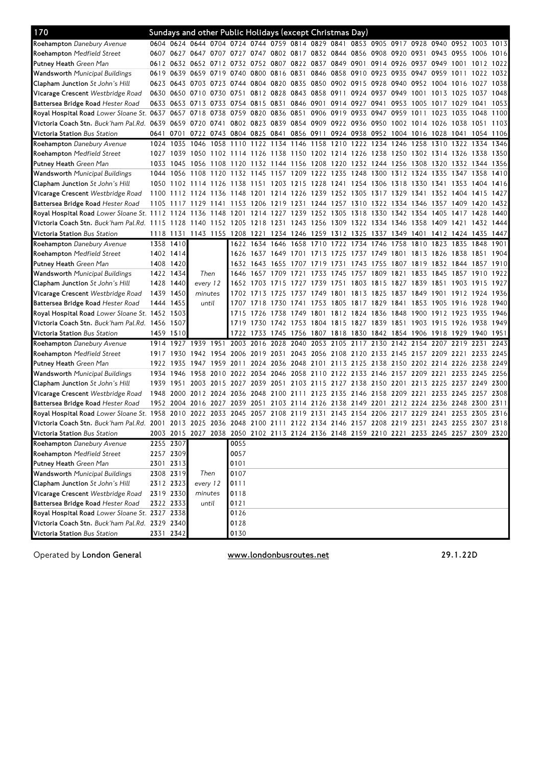| 170                                                                                                                            |           |                        | Sundays and other Public Holidays (except Christmas Day)                                  |          |                                                                                 |           |                     |                |                                         |      |                     |                |                     |      |                                                                       |                |           |      |
|--------------------------------------------------------------------------------------------------------------------------------|-----------|------------------------|-------------------------------------------------------------------------------------------|----------|---------------------------------------------------------------------------------|-----------|---------------------|----------------|-----------------------------------------|------|---------------------|----------------|---------------------|------|-----------------------------------------------------------------------|----------------|-----------|------|
| <b>Roehampton</b> Danebury Avenue                                                                                              |           |                        | 0604 0624 0644 0704 0724 0744 0759 0814 0829 0841 0853 0905 0917 0928 0940 0952 1003 1013 |          |                                                                                 |           |                     |                |                                         |      |                     |                |                     |      |                                                                       |                |           |      |
| <b>Roehampton</b> Medfield Street                                                                                              |           | 0607 0627              |                                                                                           |          | 0647 0707 0727 0747 0802 0817 0832 0844 0856 0908 0920                          |           |                     |                |                                         |      |                     |                |                     | 0931 | 0943 0955                                                             |                | 1006      | 1016 |
| <b>Putney Heath</b> Green Man                                                                                                  |           |                        | 0612 0632 0652 0712 0732 0752 0807 0822 0837 0849 0901 0914 0926                          |          |                                                                                 |           |                     |                |                                         |      |                     |                |                     |      | 0937 0949 1001                                                        |                | 1012 1022 |      |
| <b>Wandsworth</b> Municipal Buildings                                                                                          |           | 0619 0639              | 0659                                                                                      | 0719     | 0740                                                                            |           | 0800 0816 0831      |                | 0846                                    |      | 0858 0910 0923      |                | 0935                | 0947 | 0959 1011                                                             |                | 1022      | 1032 |
| Clapham Junction St John's Hill                                                                                                |           | 0623 0643              |                                                                                           |          | 0703 0723 0744                                                                  |           |                     |                | 0804 0820 0835 0850 0902 0915           |      |                     | 0928           | 0940                | 0952 | 1004 1016                                                             |                | 1027      | 1038 |
| <b>Vicarage Crescent</b> Westbridge Road                                                                                       |           | 0630 0650              | 0710                                                                                      | 0730     | 0751                                                                            |           | 0812 0828 0843 0858 |                |                                         | 0911 | 0924                | 0937           | 0949                | 1001 | 1013                                                                  | 1025           | 1037      | 1048 |
| <b>Battersea Bridge Road</b> Hester Road                                                                                       |           | 0633 0653              | 0713                                                                                      | 0733     | 0754 0815                                                                       |           | 0831                |                | 0846 0901                               |      | 0914 0927           | 0941           | 0953                | 1005 | 1017 1029                                                             |                | 1041      | 1053 |
| Royal Hospital Road Lower Sloane St. 0637                                                                                      |           | 0657                   | 0718                                                                                      | 0738     |                                                                                 | 0759 0820 |                     | 0836 0851 0906 |                                         |      | 0919 0933 0947 0959 |                |                     | 1011 | 1023 1035                                                             |                | 1048      | 1100 |
| Victoria Coach Stn. Buck'ham Pal.Rd. 0639 0659                                                                                 |           |                        | 0720 0741                                                                                 |          |                                                                                 |           |                     |                |                                         |      |                     |                |                     |      | 0802 0823 0839 0854 0909 0922 0936 0950 1002 1014 1026 1038 1051 1103 |                |           |      |
| <b>Victoria Station</b> Bus Station                                                                                            |           | 0641 0701              |                                                                                           |          | 0722 0743 0804 0825 0841 0856 0911 0924 0938 0952 1004 1016 1028 1041 1054 1106 |           |                     |                |                                         |      |                     |                |                     |      |                                                                       |                |           |      |
| <b>Roehampton</b> Danebury Avenue                                                                                              | 1024      | 1035                   | 1046                                                                                      | 1058     | 1110                                                                            | 1122      |                     | 1134 1146 1158 |                                         | 1210 | 1222                | 1234           | 1246                | 1258 | 1310 1322                                                             |                | 1334      | 1346 |
| <b>Roehampton</b> Medfield Street                                                                                              | 1027      | 1039                   | 1050                                                                                      |          | 1102 1114 1126                                                                  |           |                     |                | 1138 1150 1202 1214 1226 1238           |      |                     |                | 1250                |      | 1302 1314 1326                                                        |                | 1338      | 1350 |
| <b>Putney Heath</b> Green Man                                                                                                  | 1033      | 1045                   | 1056                                                                                      |          | 1108 1120 1132 1144 1156 1208                                                   |           |                     |                |                                         | 1220 | 1232 1244 1256      |                |                     | 1308 | 1320 1332                                                             |                | 1344      | 1356 |
| <b>Wandsworth</b> Municipal Buildings                                                                                          | 1044      | 1056                   | 1108                                                                                      |          | 1120 1132 1145                                                                  |           | 1157                |                | 1209 1222 1235                          |      | 1248 1300           |                | 1312 1324           |      | 1335 1347 1358                                                        |                |           | 1410 |
| <b>Clapham Junction</b> St John's Hill                                                                                         | 1050      |                        | 1102 1114 1126 1138                                                                       |          |                                                                                 | 1151      | 1203 1215 1228      |                |                                         |      | 1241 1254 1306      |                |                     |      | 1318 1330 1341 1353                                                   |                | 1404 1416 |      |
| <b>Vicarage Crescent</b> Westbridge Road                                                                                       | 1100      | 1112                   | 1124                                                                                      |          | 1136 1148                                                                       | 1201      | 1214 1226 1239      |                |                                         |      | 1252 1305 1317 1329 |                |                     | 1341 | 1352 1404 1415                                                        |                |           | 1427 |
| Battersea Bridge Road Hester Road                                                                                              | 1105      | 1117                   | 1129                                                                                      | 1141     | 1153                                                                            | 1206      | 1219                | 1231           | 1244                                    | 1257 |                     | 1310 1322      | 1334 1346           |      | 1357                                                                  | 1409           | 1420      | 1432 |
| Royal Hospital Road Lower Sloane St. 1112                                                                                      |           | 1124                   | 1136                                                                                      | 1148     | 1201                                                                            | 1214      | 1227                | 1239           | 1252                                    | 1305 | 1318                | 1330           | 1342 1354           |      | 1405                                                                  | 1417           | 1428      | 1440 |
| Victoria Coach Stn. Buck'ham Pal.Rd. 1115 1128                                                                                 |           |                        | 1140                                                                                      |          | 1152 1205                                                                       |           | 1218 1231 1243 1256 |                |                                         |      |                     |                |                     |      | 1309 1322 1334 1346 1358 1409 1421                                    |                | 1432      | 1444 |
| <b>Victoria Station</b> Bus Station                                                                                            | 1118 1131 |                        |                                                                                           |          | 1143 1155 1208 1221                                                             |           |                     |                | 1234 1246 1259 1312 1325 1337           |      |                     |                | 1349 1401           |      |                                                                       | 1412 1424 1435 |           | 1447 |
| Roehampton Danebury Avenue                                                                                                     |           | 1358 1410              |                                                                                           |          |                                                                                 |           |                     |                | 1622 1634 1646 1658 1710 1722 1734 1746 |      |                     |                |                     |      | 1758 1810 1823 1835                                                   |                | 1848      | 1901 |
| <b>Roehampton</b> Medfield Street                                                                                              |           | 1402 1414              |                                                                                           |          |                                                                                 |           |                     |                | 1626 1637 1649 1701 1713 1725           |      |                     |                |                     |      | 1737 1749 1801 1813 1826 1838                                         |                | 1851      | 1904 |
| <b>Putney Heath</b> Green Man                                                                                                  | 1408      | 1420                   |                                                                                           |          |                                                                                 | 1632 1643 | 1655                | 1707 1719      |                                         | 1731 |                     | 1743 1755      | 1807                | 1819 | 1832 1844                                                             |                | 1857      | 1910 |
| <b>Wandsworth</b> Municipal Buildings                                                                                          |           | 1422 1434              | Then                                                                                      |          | 1646                                                                            | 1657      | 1709                | 1721           | 1733                                    | 1745 | 1757                | 1809           | 1821                | 1833 | 1845                                                                  | 1857           | 1910      | 1922 |
| <b>Clapham Junction</b> St John's Hill                                                                                         |           | 1428 1440              | every 12                                                                                  |          | 1652                                                                            | 1703      | 1715                | 1727 1739      |                                         | 1751 |                     | 1803 1815      | 1827 1839           |      | 1851 1903                                                             |                | 1915      | 1927 |
| <b>Vicarage Crescent</b> Westbridge Road                                                                                       |           | 1439 1450              | minutes                                                                                   |          | 1702                                                                            | 1713      | 1725                | 1737 1749      |                                         | 1801 |                     | 1813 1825      | 1837 1849           |      | 1901 1912 1924                                                        |                |           | 1936 |
| <b>Battersea Bridge Road</b> Hester Road                                                                                       |           | 1444 1455              | until                                                                                     |          | 1707                                                                            | 1718      | 1730                | 1741           | 1753                                    | 1805 |                     | 1817 1829 1841 |                     | 1853 | 1905 1916                                                             |                | 1928      | 1940 |
| Royal Hospital Road Lower Sloane St. 1452 1503                                                                                 |           |                        |                                                                                           |          | 1715                                                                            | 1726      | 1738                | 1749 1801      |                                         |      | 1812 1824 1836      |                | 1848 1900           |      | 1912 1923                                                             |                | 1935      | 1946 |
| Victoria Coach Stn. Buck'ham Pal.Rd. 1456 1507                                                                                 |           |                        |                                                                                           |          | 1719                                                                            | 1730      |                     |                | 1742 1753 1804 1815 1827 1839 1851 1903 |      |                     |                |                     |      | 1915 1926                                                             |                | 1938      | 1949 |
| <b>Victoria Station</b> Bus Station                                                                                            |           | 1459 1510              |                                                                                           |          | 1722                                                                            | 1733      | 1745                |                | 1756 1807 1818 1830 1842 1854 1906      |      |                     |                |                     |      | 1918 1929                                                             |                | 1940      | 1951 |
| <b>Roehampton</b> Danebury Avenue                                                                                              | 1914      | 1927                   | 1939 1951                                                                                 |          | 2003                                                                            | 2016      | 2028                | 2040           | 2053                                    | 2105 | 2117 2130           |                | 2142 2154           |      | 2207 2219                                                             |                | 2231      | 2243 |
| <b>Roehampton</b> Medfield Street                                                                                              |           | 1917 1930              |                                                                                           |          | 1942 1954 2006 2019                                                             |           | 2031                |                |                                         |      |                     |                |                     |      | 2043 2056 2108 2120 2133 2145 2157 2209 2221 2233 2245                |                |           |      |
| <b>Putney Heath</b> Green Man                                                                                                  | 1922      | 1935                   | 1947                                                                                      | 1959     | 2011                                                                            | 2024      | 2036                | 2048 2101      |                                         |      | 2113 2125 2138 2150 |                |                     |      | 2202 2214 2226                                                        |                | 2238      | 2249 |
| Wandsworth Municipal Buildings                                                                                                 | 1934      | 1946                   | 1958                                                                                      | 2010     |                                                                                 | 2022 2034 | 2046                |                | 2058 2110                               |      |                     |                | 2122 2133 2146 2157 | 2209 | 2221 2233                                                             |                | 2245      | 2256 |
|                                                                                                                                | 1939      | 1951                   | 2003                                                                                      | 2015     | 2027                                                                            | 2039      | 2051                | 2103 2115      |                                         | 2127 |                     | 2138 2150      | 2201                | 2213 |                                                                       | 2225 2237 2249 |           | 2300 |
| <b>Clapham Junction</b> St John's Hill                                                                                         | 1948      | 2000                   | 2012                                                                                      | 2024     | 2036                                                                            | 2048      | 2100                | 2111 2123      |                                         | 2135 | 2146 2158           |                | 2209                | 2221 | 2233 2245                                                             |                | 2257      | 2308 |
| <b>Vicarage Crescent</b> Westbridge Road<br><b>Battersea Bridge Road Hester Road</b>                                           |           | 1952 2004              | 2016                                                                                      | 2027     | 2039                                                                            | 2051      | 2103                | 2114 2126      |                                         | 2138 | 2149 2201           |                | 2212 2224           |      | 2236 2248                                                             |                | 2300      | 2311 |
| Royal Hospital Road Lower Sloane St. 1958                                                                                      |           | 2010                   | 2022 2033                                                                                 |          | 2045                                                                            | 2057      | 2108                | 2119 2131      |                                         |      | 2143 2154 2206      |                | 2217                | 2229 | 2241                                                                  | 2253           | 2305      | 2316 |
| Victoria Coach Stn. Buck'ham Pal.Rd. 2001 2013 2025 2036 2048 2100 2111 2122 2134 2146 2157 2208 2219 2231 2243 2255 2307 2318 |           |                        |                                                                                           |          |                                                                                 |           |                     |                |                                         |      |                     |                |                     |      |                                                                       |                |           |      |
|                                                                                                                                |           |                        |                                                                                           |          |                                                                                 |           |                     |                |                                         |      |                     |                |                     |      |                                                                       |                |           |      |
| <b>Victoria Station</b> Bus Station<br>Roehampton Danebury Avenue                                                              |           | 2255 2307              | 2003 2015 2027 2038 2050 2102 2113 2124 2136 2148 2159 2210 2221 2233 2245 2257 2309 2320 |          | 0055                                                                            |           |                     |                |                                         |      |                     |                |                     |      |                                                                       |                |           |      |
| Roehampton Medfield Street                                                                                                     |           | 2257 2309              |                                                                                           |          | 0057                                                                            |           |                     |                |                                         |      |                     |                |                     |      |                                                                       |                |           |      |
|                                                                                                                                |           |                        |                                                                                           |          |                                                                                 |           |                     |                |                                         |      |                     |                |                     |      |                                                                       |                |           |      |
| Putney Heath Green Man<br><b>Wandsworth Municipal Buildings</b>                                                                |           | 2301 2313<br>2308 2319 |                                                                                           |          | 0101<br>0107                                                                    |           |                     |                |                                         |      |                     |                |                     |      |                                                                       |                |           |      |
| Clapham Junction St John's Hill                                                                                                |           |                        |                                                                                           | Then     |                                                                                 |           |                     |                |                                         |      |                     |                |                     |      |                                                                       |                |           |      |
|                                                                                                                                |           | 2312 2323              |                                                                                           | every 12 | 0111                                                                            |           |                     |                |                                         |      |                     |                |                     |      |                                                                       |                |           |      |
| Vicarage Crescent Westbridge Road<br>Battersea Bridge Road Hester Road                                                         |           | 2319 2330              |                                                                                           | minutes  | 0118                                                                            |           |                     |                |                                         |      |                     |                |                     |      |                                                                       |                |           |      |
|                                                                                                                                |           | 2322 2333              |                                                                                           | until    | 0121<br>0126                                                                    |           |                     |                |                                         |      |                     |                |                     |      |                                                                       |                |           |      |
| Royal Hospital Road Lower Sloane St. 2327 2338<br>Victoria Coach Stn. Buck'ham Pal.Rd. 2329 2340                               |           |                        |                                                                                           |          | 0128                                                                            |           |                     |                |                                         |      |                     |                |                     |      |                                                                       |                |           |      |
|                                                                                                                                |           |                        |                                                                                           |          |                                                                                 |           |                     |                |                                         |      |                     |                |                     |      |                                                                       |                |           |      |
| Victoria Station Bus Station                                                                                                   |           | 2331 2342              |                                                                                           |          | 0130                                                                            |           |                     |                |                                         |      |                     |                |                     |      |                                                                       |                |           |      |

Operated by London General **Exercise 31 and Septembusroutes.net** 29.1.22D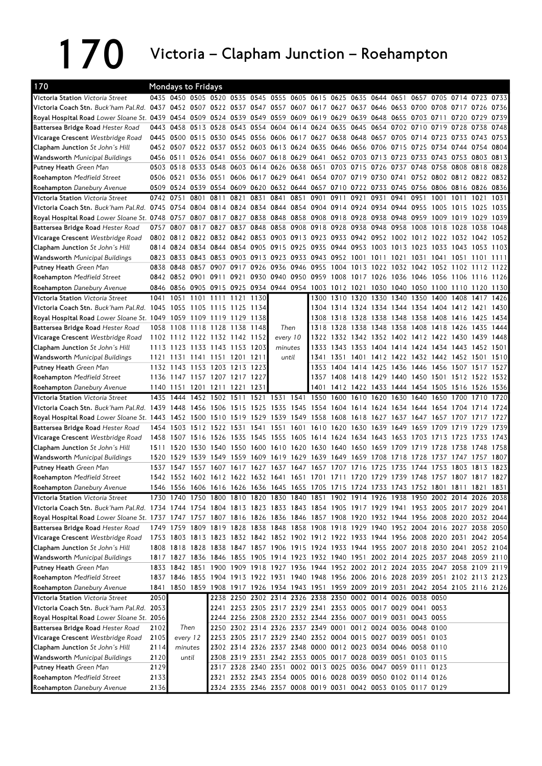## 170 Victoria – Clapham Junction – Roehampton

| 170                                                                                                                                   |              | <b>Mondays to Fridays</b> |           |      |                                                             |      |                                                                                                                            |       |      |                                                   |                |      |           |      |                                              |                     |           |      |
|---------------------------------------------------------------------------------------------------------------------------------------|--------------|---------------------------|-----------|------|-------------------------------------------------------------|------|----------------------------------------------------------------------------------------------------------------------------|-------|------|---------------------------------------------------|----------------|------|-----------|------|----------------------------------------------|---------------------|-----------|------|
| Victoria Station Victoria Street                                                                                                      |              |                           |           |      |                                                             |      | 0435 0450 0505 0520 0535 0545 0555 0605 0615 0625 0635 0644 0651                                                           |       |      |                                                   |                |      |           | 0657 |                                              | 0705 0714 0723 0733 |           |      |
| Victoria Coach Stn. Buck'ham Pal.Rd.                                                                                                  |              |                           |           |      |                                                             |      | 0437 0452 0507 0522 0537 0547 0557 0607 0617 0627 0637 0646 0653 0700 0708 0717 0726 0736                                  |       |      |                                                   |                |      |           |      |                                              |                     |           |      |
| Royal Hospital Road Lower Sloane St. 0439 0454 0509 0524 0539 0549 0559 0609 0619 0629 0639 0648                                      |              |                           |           |      |                                                             |      |                                                                                                                            |       |      |                                                   |                |      |           |      | 0655 0703 0711 0720                          |                     | 0729      | 0739 |
| Battersea Bridge Road Hester Road                                                                                                     |              | 0443 0458 0513 0528       |           |      |                                                             |      | 0543 0554 0604 0614 0624 0635 0645 0654 0702 0710 0719 0728                                                                |       |      |                                                   |                |      |           |      |                                              |                     | 0738      | 0748 |
| Vicarage Crescent Westbridge Road                                                                                                     |              |                           |           |      |                                                             |      | 0445 0500 0515 0530 0545 0556 0606 0617 0627 0638 0648 0657 0705 0714 0723 0733 0743 0753                                  |       |      |                                                   |                |      |           |      |                                              |                     |           |      |
| Clapham Junction St John's Hill                                                                                                       |              |                           |           |      |                                                             |      | 0452 0507 0522 0537 0552 0603 0613 0624 0635 0646 0656 0706                                                                |       |      |                                                   |                |      |           |      | 0715 0725 0734 0744 0754                     |                     |           | 0804 |
| <b>Wandsworth</b> Municipal Buildings                                                                                                 |              | 0456 0511                 |           |      |                                                             |      | 0526 0541 0556 0607 0618 0629 0641 0652 0703 0713                                                                          |       |      |                                                   |                |      |           |      | 0723 0733 0743 0753 0803 0813                |                     |           |      |
| <b>Putney Heath Green Man</b>                                                                                                         |              | 0503 0518 0533 0548       |           |      |                                                             |      | 0603 0614 0626 0638 0651 0703 0715 0726                                                                                    |       |      |                                                   |                |      | 0737 0748 |      | 0758 0808                                    |                     | 0818 0828 |      |
| <b>Roehampton</b> Medfield Street                                                                                                     |              |                           |           |      |                                                             |      | 0506 0521 0536 0551 0606 0617 0629 0641 0654 0707 0719 0730                                                                |       |      |                                                   |                |      |           |      | 0741 0752 0802 0812 0822 0832                |                     |           |      |
| Roehampton Danebury Avenue                                                                                                            |              | 0509 0524 0539 0554 0609  |           |      |                                                             |      | 0620 0632 0644 0657 0710 0722 0733 0745 0756 0806 0816 0826 0836                                                           |       |      |                                                   |                |      |           |      |                                              |                     |           |      |
| Victoria Station Victoria Street                                                                                                      |              | 0742 0751 0801 0811       |           |      | 0821                                                        | 0831 | 0841                                                                                                                       | 0851  | 0901 | 0911                                              | 0921           | 0931 | 0941      | 0951 | 1001                                         | 1011                | 1021      | 1031 |
| Victoria Coach Stn. Buck'ham Pal.Rd. 0745 0754 0804 0814 0824 0834 0844 0854 0904 0914 0924 0934 0944 0955 1005 1015 1025 1035        |              |                           |           |      |                                                             |      |                                                                                                                            |       |      |                                                   |                |      |           |      |                                              |                     |           |      |
| Royal Hospital Road Lower Sloane St. 0748 0757 0807 0817 0827 0838 0848 0858 0908 0918 0928 0938 0948 0959 1009 1019 1029             |              |                           |           |      |                                                             |      |                                                                                                                            |       |      |                                                   |                |      |           |      |                                              |                     |           | 1039 |
| Battersea Bridge Road Hester Road                                                                                                     |              |                           |           |      |                                                             |      | 0757 0807 0817 0827 0837 0848 0858 0908 0918 0928 0938 0948                                                                |       |      |                                                   |                |      | 0958 1008 |      | 1018 1028                                    |                     | 1038      | 1048 |
| Vicarage Crescent Westbridge Road                                                                                                     |              |                           |           |      |                                                             |      | 0802 0812 0822 0832 0842 0853 0903 0913 0923 0933 0942 0952 1002 1012 1022 1032 1042                                       |       |      |                                                   |                |      |           |      |                                              |                     |           | 1052 |
| Clapham Junction St John's Hill                                                                                                       |              |                           |           |      |                                                             |      | 0814 0824 0834 0844 0854 0905 0915 0925 0935 0944 0953 1003 1013 1023 1033 1043 1053 1103                                  |       |      |                                                   |                |      |           |      |                                              |                     |           |      |
| Wandsworth Municipal Buildings                                                                                                        |              |                           |           |      |                                                             |      | 0823 0833 0843 0853 0903 0913 0923 0933 0943 0952 1001 1011                                                                |       |      |                                                   |                |      | 1021      |      | 1031 1041 1051 1101                          |                     |           | 1111 |
| Putney Heath Green Man                                                                                                                |              |                           |           |      | 0838 0848 0857 0907 0917                                    |      | 0926 0936 0946                                                                                                             |       | 0955 |                                                   |                |      |           |      | 1004 1013 1022 1032 1042 1052 1102 1112      |                     |           | 1122 |
| <b>Roehampton</b> Medfield Street                                                                                                     |              |                           |           |      |                                                             |      | 0842 0852 0901 0911 0921 0930 0940 0950 0959 1008 1017 1026 1036 1046 1056 1106 1116 1126                                  |       |      |                                                   |                |      |           |      |                                              |                     |           |      |
| Roehampton Danebury Avenue                                                                                                            |              |                           |           |      |                                                             |      | 0846 0856 0905 0915 0925 0934 0944 0954 1003 1012 1021 1030 1040 1050 1100 1110 1120                                       |       |      |                                                   |                |      |           |      |                                              |                     |           | 1130 |
| Victoria Station Victoria Street                                                                                                      |              |                           |           |      | 1041 1051 1101 1111 1121 1130                               |      |                                                                                                                            |       |      | 1300 1310 1320 1330 1340 1350 1400 1408           |                |      |           |      |                                              |                     | 1417      | 1426 |
| Victoria Coach Stn. Buck'ham Pal.Rd.                                                                                                  |              | 1045 1055 1105 1115       |           |      | 1125                                                        | 1134 |                                                                                                                            |       |      | 1304 1314 1324 1334 1344 1354 1404 1412 1421      |                |      |           |      |                                              |                     |           | 1430 |
| Royal Hospital Road Lower Sloane St. 1049 1059 1109 1119 1129 1138                                                                    |              |                           |           |      |                                                             |      |                                                                                                                            |       |      | 1308 1318 1328 1338 1348 1358 1408 1416 1425 1434 |                |      |           |      |                                              |                     |           |      |
| Battersea Bridge Road Hester Road                                                                                                     |              |                           |           |      | 1058 1108 1118 1128 1138 1148                               |      |                                                                                                                            | Then  |      | 1318 1328 1338 1348 1358 1408 1418 1426 1435      |                |      |           |      |                                              |                     |           | 1444 |
| Vicarage Crescent Westbridge Road                                                                                                     |              |                           |           |      | 1102 1112 1122 1132 1142 1152                               |      | every 10                                                                                                                   |       | 1322 |                                                   |                |      |           |      | 1332 1342 1352 1402 1412 1422 1430 1439      |                     |           | 1448 |
| <b>Clapham Junction</b> St John's Hill                                                                                                | 1113         |                           |           |      | 1123 1133 1143 1153 1203                                    |      | minutes                                                                                                                    |       | 1333 |                                                   | 1343 1353 1404 |      |           |      | 1414 1424 1434 1443                          |                     | 1452      | 1501 |
| <b>Wandsworth</b> Municipal Buildings                                                                                                 |              |                           |           |      | 1121 1131 1141 1151 1201 1211                               |      |                                                                                                                            | until | 1341 |                                                   |                |      |           |      | 1351 1401 1412 1422 1432 1442 1452 1501      |                     |           | 1510 |
| Putney Heath Green Man                                                                                                                |              |                           |           |      | 1132 1143 1153 1203 1213 1223                               |      |                                                                                                                            |       | 1353 |                                                   |                |      |           |      | 1404 1414 1425 1436 1446 1456 1507 1517      |                     |           | 1527 |
| <b>Roehampton</b> Medfield Street                                                                                                     |              |                           |           |      | 1136 1147 1157 1207 1217 1227                               |      |                                                                                                                            |       |      | 1357 1408 1418 1429 1440 1450 1501 1512 1522 1532 |                |      |           |      |                                              |                     |           |      |
| <b>Roehampton</b> Danebury Avenue                                                                                                     |              |                           |           |      | 1140 1151 1201 1211 1221 1231                               |      |                                                                                                                            |       | 1401 |                                                   |                |      |           |      | 1412 1422 1433 1444 1454 1505 1516 1526 1536 |                     |           |      |
| Victoria Station Victoria Street                                                                                                      | 1435         |                           | 1444 1452 | 1502 | 1511                                                        | 1521 | 1531 1541                                                                                                                  |       | 1550 |                                                   | 1600 1610      | 1620 | 1630      |      | 1640 1650 1700 1710                          |                     |           | 1720 |
| Victoria Coach Stn. Buck'ham Pal.Rd. 1439 1448                                                                                        |              |                           | 1456 1506 |      | 1515                                                        |      | 1525 1535                                                                                                                  | 1545  | 1554 | 1604 1614                                         |                | 1624 |           |      | 1634 1644 1654                               | 1704                | 1714      | 1724 |
| Royal Hospital Road Lower Sloane St. 1443 1452 1500 1510                                                                              |              |                           |           |      |                                                             |      | 1519 1529 1539 1549 1558 1608 1618 1627                                                                                    |       |      |                                                   |                |      |           |      | 1637 1647 1657 1707 1717                     |                     |           | 1727 |
| Battersea Bridge Road Hester Road                                                                                                     |              | 1454 1503 1512 1522 1531  |           |      |                                                             |      | 1541 1551                                                                                                                  |       |      | 1601 1610 1620 1630 1639                          |                |      | 1649      | 1659 |                                              | 1709 1719 1729      |           | 1739 |
| Vicarage Crescent Westbridge Road                                                                                                     |              | 1458 1507 1516 1526       |           |      |                                                             |      | 1535 1545 1555 1605 1614 1624 1634 1643                                                                                    |       |      |                                                   |                |      |           |      | 1653 1703 1713 1723 1733 1743                |                     |           |      |
| <b>Clapham Junction</b> St John's Hill                                                                                                |              |                           |           |      |                                                             |      | 1511 1520 1530 1540 1550 1600 1610 1620 1630 1640 1650 1659                                                                |       |      |                                                   |                |      |           |      | 1709 1719 1728                               | 1738                | 1748      | 1758 |
| <b>Wandsworth</b> Municipal Buildings                                                                                                 |              | 1520 1529                 | 1539 1549 |      | 1559                                                        |      | 1609 1619 1629 1639 1649 1659 1708                                                                                         |       |      |                                                   |                |      | 1718      | 1728 | 1737 1747 1757                               |                     |           | 1807 |
| <b>Putney Heath</b> Green Man                                                                                                         |              | 1537 1547                 | 1557      | 1607 |                                                             |      | 1617 1627 1637 1647                                                                                                        |       | 1657 | 1707                                              | 1716           | 1725 | 1735      | 1744 | 1753                                         | 1803                | 1813      | 1823 |
| <b>Roehampton</b> Medfield Street                                                                                                     |              |                           |           |      |                                                             |      | 1542 1552 1602 1612 1622 1632 1641 1651 1701 1711 1720 1729 1739 1748 1757 1807 1817 1827                                  |       |      |                                                   |                |      |           |      |                                              |                     |           |      |
| Roehampton Danebury Avenue                                                                                                            |              |                           |           |      |                                                             |      | 1546 1556 1606 1616 1626 1636 1645 1655 1705 1715 1724 1733 1743 1752 1801 1811 1821 1831                                  |       |      |                                                   |                |      |           |      |                                              |                     |           |      |
| <b>Victoria Station</b> Victoria Street                                                                                               |              |                           |           |      |                                                             |      | 1730 1740 1750 1800 1810 1820 1830 1840 1851 1902 1914 1926 1938 1950 2002 2014 2026 2038                                  |       |      |                                                   |                |      |           |      |                                              |                     |           |      |
| Victoria Coach Stn. <i>Buck'ham Pal.Rd. 1734 1744 1754 1804 1813 1823 1833 1843 1854 1905 1917 1929 1941 1953 2005 2017 2029 2041</i> |              |                           |           |      |                                                             |      |                                                                                                                            |       |      |                                                   |                |      |           |      |                                              |                     |           |      |
| Royal Hospital Road Lower Sloane St. 1737 1747 1757 1807 1816 1826 1836 1846 1857 1908 1920 1932 1944 1956 2008 2020 2032 2044        |              |                           |           |      |                                                             |      |                                                                                                                            |       |      |                                                   |                |      |           |      |                                              |                     |           |      |
| Battersea Bridge Road Hester Road                                                                                                     |              |                           |           |      |                                                             |      | 1749 1759 1809 1819 1828 1838 1848 1858 1908 1918 1929 1940 1952 2004 2016 2027 2038 2050                                  |       |      |                                                   |                |      |           |      |                                              |                     |           |      |
| <b>Vicarage Crescent</b> Westbridge Road                                                                                              |              |                           |           |      |                                                             |      | 1753 1803 1813 1823 1832 1842 1852 1902 1912 1922 1933 1944 1956 2008 2020 2031 2042 2054                                  |       |      |                                                   |                |      |           |      |                                              |                     |           |      |
| Clapham Junction St John's Hill                                                                                                       |              |                           |           |      |                                                             |      | 1808 1818 1828 1838 1847 1857 1906 1915 1924 1933 1944 1955 2007 2018 2030 2041 2052 2104                                  |       |      |                                                   |                |      |           |      |                                              |                     |           |      |
| <b>Wandsworth</b> Municipal Buildings                                                                                                 |              |                           |           |      |                                                             |      | 1817 1827 1836 1846 1855 1905 1914 1923 1932 1940 1951 2002 2014 2025 2037 2048 2059 2110                                  |       |      |                                                   |                |      |           |      |                                              |                     |           |      |
| Putney Heath Green Man                                                                                                                |              |                           |           |      |                                                             |      | 1833 1842 1851 1900 1909 1918 1927 1936 1944 1952 2002 2012 2024 2035 2047 2058 2109 2119                                  |       |      |                                                   |                |      |           |      |                                              |                     |           |      |
| Roehampton Medfield Street                                                                                                            |              |                           |           |      |                                                             |      | 1837 1846 1855 1904 1913 1922 1931 1940 1948 1956 2006 2016 2028 2039 2051 2102 2113 2123                                  |       |      |                                                   |                |      |           |      |                                              |                     |           |      |
| Roehampton Danebury Avenue                                                                                                            | 1841         |                           |           |      |                                                             |      | 1850 1859 1908 1917 1926 1934 1943 1951 1959 2009 2019 2031 2042 2054 2105 2116 2126                                       |       |      |                                                   |                |      |           |      |                                              |                     |           |      |
| Victoria Station Victoria Street                                                                                                      | 2050         |                           |           |      |                                                             |      | 2238 2250 2302 2314 2326 2338 2350 0002 0014 0026 0038 0050                                                                |       |      |                                                   |                |      |           |      |                                              |                     |           |      |
| Victoria Coach Stn. Buck'ham Pal.Rd.                                                                                                  | 2053         |                           |           |      |                                                             |      | 2241 2253 2305 2317 2329 2341 2353 0005 0017 0029 0041 0053                                                                |       |      |                                                   |                |      |           |      |                                              |                     |           |      |
| Royal Hospital Road Lower Sloane St. 2056                                                                                             |              |                           |           |      |                                                             |      | 2244 2256 2308 2320 2332 2344 2356 0007 0019 0031 0043 0055                                                                |       |      |                                                   |                |      |           |      |                                              |                     |           |      |
|                                                                                                                                       |              |                           |           |      |                                                             |      |                                                                                                                            |       |      |                                                   |                |      |           |      |                                              |                     |           |      |
|                                                                                                                                       |              |                           |           |      |                                                             |      |                                                                                                                            |       |      |                                                   |                |      |           |      |                                              |                     |           |      |
| Battersea Bridge Road Hester Road                                                                                                     | 2102         | Then                      |           |      | 2250 2302 2314 2326 2337 2349 0001 0012 0024 0036 0048 0100 |      |                                                                                                                            |       |      |                                                   |                |      |           |      |                                              |                     |           |      |
| Vicarage Crescent Westbridge Road                                                                                                     | 2105         | every 12                  |           |      |                                                             |      | 2253 2305 2317 2329 2340 2352 0004 0015 0027 0039 0051 0103                                                                |       |      |                                                   |                |      |           |      |                                              |                     |           |      |
| Clapham Junction St John's Hill                                                                                                       | 2114         | minutes                   |           |      |                                                             |      | 2302 2314 2326 2337 2348 0000 0012 0023 0034 0046 0058 0110                                                                |       |      |                                                   |                |      |           |      |                                              |                     |           |      |
| <b>Wandsworth</b> Municipal Buildings                                                                                                 | 2120         |                           | until     |      |                                                             |      | 2308 2319 2331 2342 2353 0005 0017 0028 0039 0051 0103 0115                                                                |       |      |                                                   |                |      |           |      |                                              |                     |           |      |
| Putney Heath Green Man                                                                                                                | 2129         |                           |           |      |                                                             |      | 2317 2328 2340 2351 0002 0013 0025 0036 0047 0059 0111 0123                                                                |       |      |                                                   |                |      |           |      |                                              |                     |           |      |
| Roehampton Medfield Street<br>Roehampton Danebury Avenue                                                                              | 2133<br>2136 |                           |           |      |                                                             |      | 2321 2332 2343 2354 0005 0016 0028 0039 0050 0102 0114 0126<br>2324 2335 2346 2357 0008 0019 0031 0042 0053 0105 0117 0129 |       |      |                                                   |                |      |           |      |                                              |                     |           |      |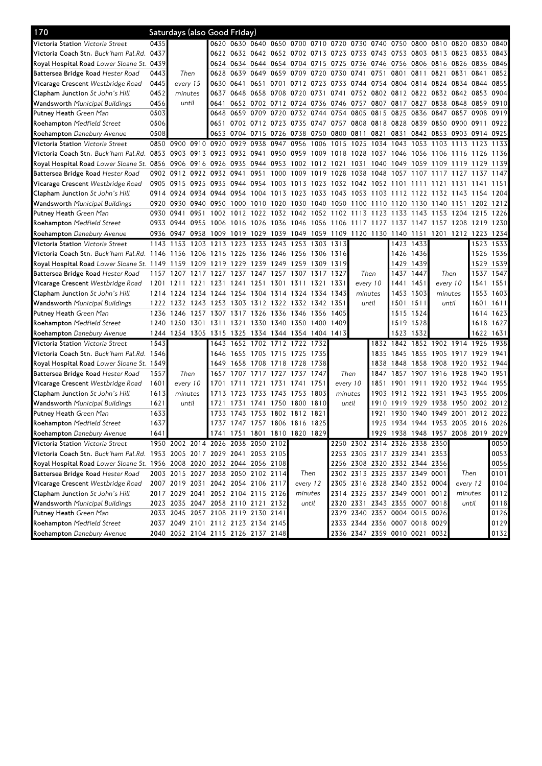| 170                                                                                                                            |           | Saturdays (also Good Friday)                                                              |               |                                                                                 |                |      |      |                                                                            |       |           |                               |           |           |           |                                              |                |           |           |
|--------------------------------------------------------------------------------------------------------------------------------|-----------|-------------------------------------------------------------------------------------------|---------------|---------------------------------------------------------------------------------|----------------|------|------|----------------------------------------------------------------------------|-------|-----------|-------------------------------|-----------|-----------|-----------|----------------------------------------------|----------------|-----------|-----------|
| <b>Victoria Station</b> Victoria Street                                                                                        | 0435      |                                                                                           |               |                                                                                 |                |      |      | 0620 0630 0640 0650 0700 0710 0720 0730 0740 0750 0800 0810 0820 0830 0840 |       |           |                               |           |           |           |                                              |                |           |           |
| <b>Victoria Coach Stn.</b> Buck'ham Pal.Rd.                                                                                    | 0437      |                                                                                           |               |                                                                                 |                |      |      | 0622 0632 0642 0652 0702 0713 0723 0733 0743 0753 0803 0813 0823 0833      |       |           |                               |           |           |           |                                              |                |           | 0843      |
| Royal Hospital Road Lower Sloane St. 0439                                                                                      |           |                                                                                           |               |                                                                                 |                |      |      | 0624 0634 0644 0654 0704 0715                                              |       |           |                               |           |           |           | 0725 0736 0746 0756 0806 0816 0826 0836 0846 |                |           |           |
| <b>Battersea Bridge Road</b> Hester Road                                                                                       | 0443      | Then                                                                                      |               | 0628                                                                            | 0639 0649      |      |      | 0659 0709 0720                                                             |       | 0730 0741 |                               | 0751      | 0801      | 0811      | 0821 0831 0841                               |                |           | 0852      |
| <b>Vicarage Crescent</b> Westbridge Road                                                                                       | 0445      | every 15                                                                                  |               |                                                                                 | 0630 0641 0651 |      | 0701 | 0712 0723 0733 0744 0754 0804 0814 0824 0834 0844 0855                     |       |           |                               |           |           |           |                                              |                |           |           |
| Clapham Junction St John's Hill                                                                                                | 0452      | minutes                                                                                   |               | 0637                                                                            |                |      |      | 0648 0658 0708 0720 0731 0741 0752 0802 0812 0822 0832 0842 0853 0904      |       |           |                               |           |           |           |                                              |                |           |           |
| <b>Wandsworth</b> Municipal Buildings                                                                                          | 0456      |                                                                                           | until<br>0641 |                                                                                 |                |      |      | 0652 0702 0712 0724 0736 0746 0757 0807 0817 0827 0838 0848 0859 0910      |       |           |                               |           |           |           |                                              |                |           |           |
| <b>Putney Heath</b> Green Man                                                                                                  | 0503      |                                                                                           |               | 0648                                                                            | 0659 0709 0720 |      |      | 0732 0744 0754 0805                                                        |       |           |                               | 0815 0825 |           |           | 0836 0847 0857 0908 0919                     |                |           |           |
| <b>Roehampton</b> Medfield Street                                                                                              | 0506      |                                                                                           |               | 0651                                                                            |                |      |      | 0702 0712 0723 0735 0747 0757 0808 0818 0828                               |       |           |                               |           |           |           | 0839 0850 0900 0911 0922                     |                |           |           |
| <b>Roehampton</b> Danebury Avenue                                                                                              | 0508      |                                                                                           |               |                                                                                 |                |      |      | 0653 0704 0715 0726 0738 0750 0800 0811 0821 0831 0842 0853 0903 0914 0925 |       |           |                               |           |           |           |                                              |                |           |           |
| <b>Victoria Station</b> Victoria Street                                                                                        |           | 0850 0900 0910 0920                                                                       |               |                                                                                 | 0929 0938      |      | 0947 | 0956 1006                                                                  |       | 1015      | 1025 1034                     |           | 1043      | 1053      | 1103 1113 1123                               |                |           | 1133      |
| Victoria Coach Stn. Buck'ham Pal.Rd. 0853 0903 0913 0923 0932 0941 0950 0959 1009 1018 1028 1037 1046 1056 1106 1116 1126 1136 |           |                                                                                           |               |                                                                                 |                |      |      |                                                                            |       |           |                               |           |           |           |                                              |                |           |           |
| Royal Hospital Road <i>Lower Sloane St.</i> 0856 0906 0916 0926 0935 0944 0953 1002 1012 1021 1031 1040 1049 1059 1109 1119    |           |                                                                                           |               |                                                                                 |                |      |      |                                                                            |       |           |                               |           |           |           |                                              |                | 1129      | 1139      |
| <b>Battersea Bridge Road</b> Hester Road                                                                                       |           | 0902 0912 0922 0932 0941                                                                  |               |                                                                                 |                | 0951 | 1000 | 1009 1019 1028 1038 1048                                                   |       |           |                               |           | 1057 1107 |           | 1117                                         | 1127           | 1137      | 1147      |
| <b>Vicarage Crescent</b> Westbridge Road                                                                                       | 0905 0915 |                                                                                           | 0925          | 0935                                                                            | 0944 0954      |      | 1003 | 1013 1023                                                                  |       |           | 1032 1042 1052                |           | 1101      | 1111      | 1121                                         | 1131           | 1141      | 1151      |
| <b>Clapham Junction</b> St John's Hill                                                                                         |           | 0914 0924                                                                                 |               | 0934 0944 0954                                                                  |                |      |      | 1004 1013 1023 1033 1043 1053 1103 1112 1122 1132 1143 1154 1204           |       |           |                               |           |           |           |                                              |                |           |           |
| <b>Wandsworth</b> Municipal Buildings                                                                                          |           | 0920 0930 0940 0950 1000 1010 1020 1030 1040 1050 1100 1110 1120 1130 1140 1151 1202 1212 |               |                                                                                 |                |      |      |                                                                            |       |           |                               |           |           |           |                                              |                |           |           |
| <b>Putney Heath</b> Green Man                                                                                                  | 0930 0941 |                                                                                           |               | 0951 1002 1012 1022 1032 1042 1052 1102 1113 1123 1133 1143 1153 1204 1215 1226 |                |      |      |                                                                            |       |           |                               |           |           |           |                                              |                |           |           |
| <b>Roehampton</b> Medfield Street                                                                                              |           | 0933 0944                                                                                 | 0955          | 1006 1016 1026 1036 1046 1056 1106 1117 1127 1137 1147 1157 1208 1219 1230      |                |      |      |                                                                            |       |           |                               |           |           |           |                                              |                |           |           |
| <b>Roehampton</b> Danebury Avenue                                                                                              |           | 0936 0947 0958 1009 1019 1029 1039 1049 1059 1109 1120 1130 1140 1151                     |               |                                                                                 |                |      |      |                                                                            |       |           |                               |           |           |           |                                              | 1201 1212 1223 |           | 1234      |
| <b>Victoria Station</b> Victoria Street                                                                                        |           | 1143 1153 1203 1213 1223 1233 1243 1253 1303 1313                                         |               |                                                                                 |                |      |      |                                                                            |       |           |                               |           |           | 1423 1433 |                                              |                |           | 1523 1533 |
| Victoria Coach Stn. Buck'ham Pal.Rd. 1146 1156 1206 1216 1226 1236 1246 1256 1306 1316                                         |           |                                                                                           |               |                                                                                 |                |      |      |                                                                            |       |           |                               |           |           | 1426 1436 |                                              |                |           | 1526 1536 |
| Royal Hospital Road Lower Sloane St. 1149 1159 1209 1219 1229 1239 1249 1259 1309 1319                                         |           |                                                                                           |               |                                                                                 |                |      |      |                                                                            |       |           |                               |           |           | 1429 1439 |                                              |                |           | 1529 1539 |
| <b>Battersea Bridge Road</b> Hester Road                                                                                       |           | 1157 1207 1217 1227 1237 1247 1257 1307 1317 1327                                         |               |                                                                                 |                |      |      |                                                                            |       |           | Then                          |           |           | 1437 1447 | Then                                         |                |           | 1537 1547 |
| <b>Vicarage Crescent</b> Westbridge Road                                                                                       |           | 1201 1211 1221 1231 1241 1251 1301 1311 1321 1331                                         |               |                                                                                 |                |      |      |                                                                            |       |           | every 10                      |           | 1441 1451 |           | every 10                                     |                |           | 1541 1551 |
| <b>Clapham Junction</b> St John's Hill                                                                                         |           | 1214 1224                                                                                 |               | 1234 1244 1254                                                                  |                |      |      | 1304 1314 1324 1334                                                        |       | 1343      | minutes                       |           |           | 1453 1503 | minutes                                      |                | 1553      | 1603      |
| <b>Wandsworth</b> Municipal Buildings                                                                                          |           | 1222 1232 1243                                                                            |               | 1253                                                                            | 1303           |      |      | 1312 1322 1332 1342                                                        |       | 1351      | until                         |           |           | 1501 1511 | until                                        |                |           | 1601 1611 |
| <b>Putney Heath</b> Green Man                                                                                                  | 1236 1246 |                                                                                           |               | 1257 1307 1317 1326 1336 1346 1356                                              |                |      |      |                                                                            |       | 1405      |                               |           | 1515      | 1524      |                                              |                |           | 1614 1623 |
| <b>Roehampton</b> Medfield Street                                                                                              |           | 1240 1250 1301 1311 1321 1330 1340 1350 1400 1409                                         |               |                                                                                 |                |      |      |                                                                            |       |           |                               |           |           | 1519 1528 |                                              |                |           | 1618 1627 |
| <b>Roehampton</b> Danebury Avenue                                                                                              |           | 1244 1254 1305 1315 1325 1334 1344 1354 1404 1413                                         |               |                                                                                 |                |      |      |                                                                            |       |           |                               |           | 1523      | 1532      |                                              |                | 1622 1631 |           |
| <b>Victoria Station</b> Victoria Street                                                                                        | 1543      |                                                                                           |               |                                                                                 |                |      |      | 1643 1652 1702 1712 1722 1732                                              |       |           |                               |           |           |           | 1832 1842 1852 1902 1914 1926                |                |           | 1938      |
| Victoria Coach Stn. Buck'ham Pal.Rd.                                                                                           | 1546      |                                                                                           |               | 1646                                                                            | 1655 1705      |      |      | 1715 1725 1735                                                             |       |           |                               |           | 1835 1845 |           | 1855 1905 1917 1929                          |                |           | 1941      |
| <b>Royal Hospital Road</b> Lower Sloane St. 1 <b>5</b> 49                                                                      |           |                                                                                           |               | 1649                                                                            | 1658           |      |      | 1708 1718 1728 1738                                                        |       |           |                               | 1838      | 1848      |           | 1858 1908 1920                               |                | 1932 1944 |           |
| Battersea Bridge Road Hester Road                                                                                              | 1557      | Then                                                                                      |               | 1657                                                                            | 1707           |      |      | 1717 1727 1737 1747                                                        |       | Then      |                               | 1847      |           |           | 1857 1907 1916 1928                          |                | 1940      | 1951      |
| Vicarage Crescent Westbridge Road                                                                                              | 1601      | every 10                                                                                  |               | 1701                                                                            | 1711           | 1721 | 1731 | 1741 1751                                                                  |       | every 10  |                               | 1851      | 1901      | 1911      | 1920 1932 1944 1955                          |                |           |           |
| <b>Clapham Junction</b> St John's Hill                                                                                         | 1613      | minutes                                                                                   |               |                                                                                 | 1713 1723      |      |      | 1733 1743 1753 1803                                                        |       | minutes   |                               | 1903      |           |           | 1912 1922 1931 1943 1955 2006                |                |           |           |
| <b>Wandsworth</b> Municipal Buildings                                                                                          | 1621      | until                                                                                     |               | 1721                                                                            |                |      |      | 1731 1741 1750 1800 1810                                                   |       | until     |                               |           |           |           | 1910 1919 1929 1938 1950 2002 2012           |                |           |           |
| <b>Putney Heath</b> Green Man                                                                                                  | 1633      |                                                                                           |               | 1733                                                                            | 1743           |      |      | 1753 1802 1812 1821                                                        |       |           |                               | 1921      | 1930      |           | 1940 1949 2001                               |                | 2012      | 2022      |
| <b>Roehampton</b> Medfield Street                                                                                              | 1637      |                                                                                           |               |                                                                                 |                |      |      | 1737 1747 1757 1806 1816 1825                                              |       |           |                               |           |           |           | 1925 1934 1944 1953 2005 2016 2026           |                |           |           |
| Roehampton Danebury Avenue                                                                                                     | 1641      |                                                                                           |               |                                                                                 |                |      |      | 1741 1751 1801 1810 1820 1829                                              |       |           |                               |           |           |           | 1929 1938 1948 1957 2008 2019 2029           |                |           |           |
| <b>Victoria Station</b> Victoria Street                                                                                        |           | 1950 2002 2014 2026 2038 2050 2102                                                        |               |                                                                                 |                |      |      |                                                                            |       |           | 2250 2302 2314 2326 2338 2350 |           |           |           |                                              |                |           | 0050      |
| Victoria Coach Stn. Buck'ham Pal.Rd. 1953 2005 2017 2029 2041 2053 2105                                                        |           |                                                                                           |               |                                                                                 |                |      |      |                                                                            |       |           | 2253 2305 2317 2329 2341 2353 |           |           |           |                                              |                |           | 0053      |
| Royal Hospital Road Lower Sloane St. 1956 2008 2020 2032 2044 2056 2108                                                        |           |                                                                                           |               |                                                                                 |                |      |      |                                                                            |       |           | 2256 2308 2320 2332 2344 2356 |           |           |           |                                              |                |           | 0056      |
| <b>Battersea Bridge Road</b> Hester Road                                                                                       |           | 2003 2015 2027 2038 2050 2102 2114                                                        |               |                                                                                 |                |      |      | Then                                                                       |       |           | 2302 2313 2325 2337 2349 0001 |           |           |           |                                              | Then           |           | 0101      |
| Vicarage Crescent Westbridge Road                                                                                              |           | 2007 2019 2031 2042 2054 2106 2117                                                        |               |                                                                                 |                |      |      | every 12                                                                   |       |           | 2305 2316 2328 2340 2352 0004 |           |           |           |                                              | every 12       |           | 0104      |
| Clapham Junction St John's Hill                                                                                                |           | 2017 2029 2041 2052 2104 2115 2126                                                        |               |                                                                                 |                |      |      | minutes                                                                    |       |           | 2314 2325 2337 2349 0001 0012 |           |           |           |                                              | minutes        |           | 0112      |
| Wandsworth Municipal Buildings                                                                                                 |           | 2023 2035 2047 2058 2110 2121 2132                                                        |               |                                                                                 |                |      |      |                                                                            | until |           | 2320 2331 2343 2355 0007 0018 |           |           |           |                                              | until          |           | 0118      |
| Putney Heath Green Man                                                                                                         |           | 2033 2045 2057 2108 2119 2130 2141                                                        |               |                                                                                 |                |      |      |                                                                            |       |           | 2329 2340 2352 0004 0015 0026 |           |           |           |                                              |                |           | 0126      |
| Roehampton Medfield Street                                                                                                     |           | 2037 2049 2101 2112 2123 2134 2145                                                        |               |                                                                                 |                |      |      |                                                                            |       |           | 2333 2344 2356 0007 0018 0029 |           |           |           |                                              |                |           | 0129      |
| Roehampton Danebury Avenue                                                                                                     |           | 2040 2052 2104 2115 2126 2137 2148                                                        |               |                                                                                 |                |      |      |                                                                            |       |           | 2336 2347 2359 0010 0021 0032 |           |           |           |                                              |                |           | 0132      |
|                                                                                                                                |           |                                                                                           |               |                                                                                 |                |      |      |                                                                            |       |           |                               |           |           |           |                                              |                |           |           |